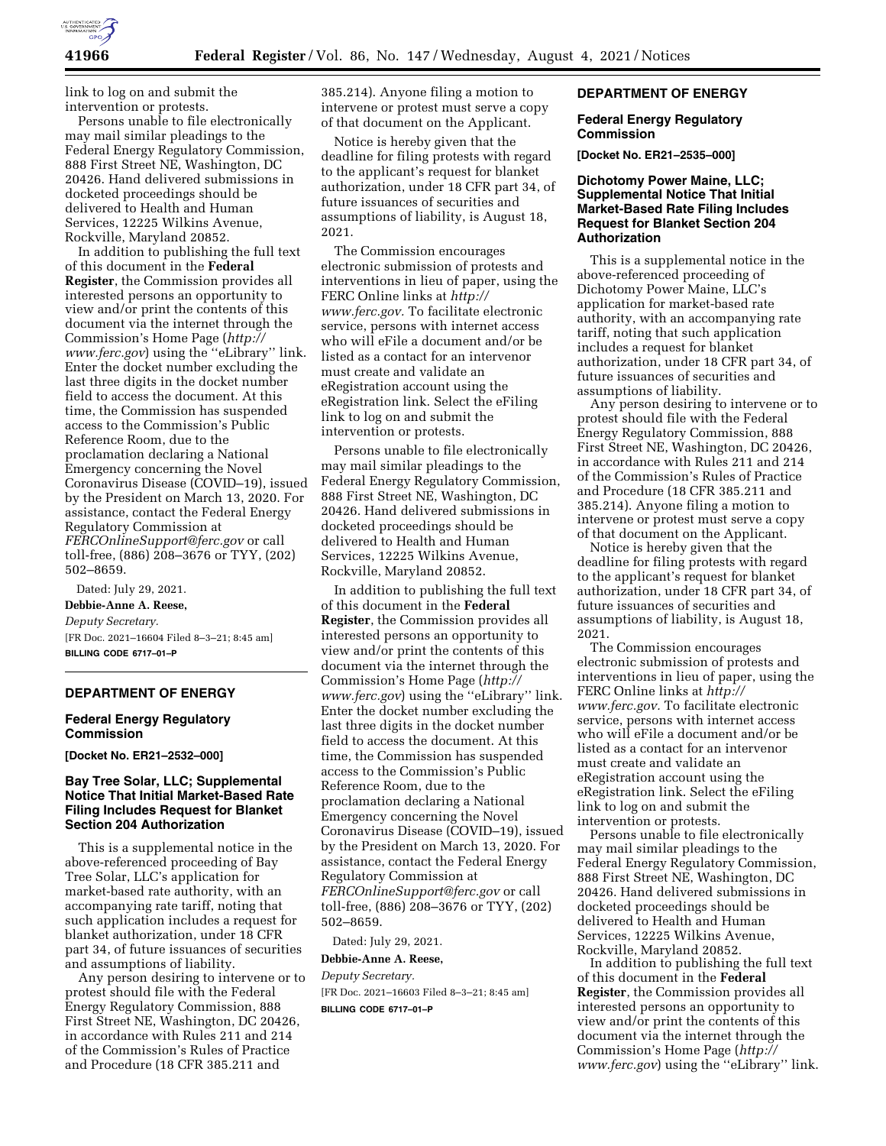

link to log on and submit the intervention or protests.

Persons unable to file electronically may mail similar pleadings to the Federal Energy Regulatory Commission, 888 First Street NE, Washington, DC 20426. Hand delivered submissions in docketed proceedings should be delivered to Health and Human Services, 12225 Wilkins Avenue, Rockville, Maryland 20852.

In addition to publishing the full text of this document in the **Federal Register**, the Commission provides all interested persons an opportunity to view and/or print the contents of this document via the internet through the Commission's Home Page (*[http://](http://www.ferc.gov) [www.ferc.gov](http://www.ferc.gov)*) using the ''eLibrary'' link. Enter the docket number excluding the last three digits in the docket number field to access the document. At this time, the Commission has suspended access to the Commission's Public Reference Room, due to the proclamation declaring a National Emergency concerning the Novel Coronavirus Disease (COVID–19), issued by the President on March 13, 2020. For assistance, contact the Federal Energy Regulatory Commission at *[FERCOnlineSupport@ferc.gov](mailto:FERCOnlineSupport@ferc.gov)* or call toll-free, (886) 208–3676 or TYY, (202) 502–8659.

Dated: July 29, 2021. **Debbie-Anne A. Reese,**  *Deputy Secretary.*  [FR Doc. 2021–16604 Filed 8–3–21; 8:45 am] **BILLING CODE 6717–01–P** 

## **DEPARTMENT OF ENERGY**

#### **Federal Energy Regulatory Commission**

**[Docket No. ER21–2532–000]** 

## **Bay Tree Solar, LLC; Supplemental Notice That Initial Market-Based Rate Filing Includes Request for Blanket Section 204 Authorization**

This is a supplemental notice in the above-referenced proceeding of Bay Tree Solar, LLC's application for market-based rate authority, with an accompanying rate tariff, noting that such application includes a request for blanket authorization, under 18 CFR part 34, of future issuances of securities and assumptions of liability.

Any person desiring to intervene or to protest should file with the Federal Energy Regulatory Commission, 888 First Street NE, Washington, DC 20426, in accordance with Rules 211 and 214 of the Commission's Rules of Practice and Procedure (18 CFR 385.211 and

385.214). Anyone filing a motion to intervene or protest must serve a copy of that document on the Applicant.

Notice is hereby given that the deadline for filing protests with regard to the applicant's request for blanket authorization, under 18 CFR part 34, of future issuances of securities and assumptions of liability, is August 18, 2021.

The Commission encourages electronic submission of protests and interventions in lieu of paper, using the FERC Online links at *[http://](http://www.ferc.gov) [www.ferc.gov.](http://www.ferc.gov)* To facilitate electronic service, persons with internet access who will eFile a document and/or be listed as a contact for an intervenor must create and validate an eRegistration account using the eRegistration link. Select the eFiling link to log on and submit the intervention or protests.

Persons unable to file electronically may mail similar pleadings to the Federal Energy Regulatory Commission, 888 First Street NE, Washington, DC 20426. Hand delivered submissions in docketed proceedings should be delivered to Health and Human Services, 12225 Wilkins Avenue, Rockville, Maryland 20852.

In addition to publishing the full text of this document in the **Federal Register**, the Commission provides all interested persons an opportunity to view and/or print the contents of this document via the internet through the Commission's Home Page (*[http://](http://www.ferc.gov) [www.ferc.gov](http://www.ferc.gov)*) using the ''eLibrary'' link. Enter the docket number excluding the last three digits in the docket number field to access the document. At this time, the Commission has suspended access to the Commission's Public Reference Room, due to the proclamation declaring a National Emergency concerning the Novel Coronavirus Disease (COVID–19), issued by the President on March 13, 2020. For assistance, contact the Federal Energy Regulatory Commission at *[FERCOnlineSupport@ferc.gov](mailto:FERCOnlineSupport@ferc.gov)* or call toll-free, (886) 208–3676 or TYY, (202) 502–8659.

Dated: July 29, 2021.

#### **Debbie-Anne A. Reese,**

*Deputy Secretary.*  [FR Doc. 2021–16603 Filed 8–3–21; 8:45 am] **BILLING CODE 6717–01–P** 

## **DEPARTMENT OF ENERGY**

## **Federal Energy Regulatory Commission**

**[Docket No. ER21–2535–000]** 

# **Dichotomy Power Maine, LLC; Supplemental Notice That Initial Market-Based Rate Filing Includes Request for Blanket Section 204 Authorization**

This is a supplemental notice in the above-referenced proceeding of Dichotomy Power Maine, LLC's application for market-based rate authority, with an accompanying rate tariff, noting that such application includes a request for blanket authorization, under 18 CFR part 34, of future issuances of securities and assumptions of liability.

Any person desiring to intervene or to protest should file with the Federal Energy Regulatory Commission, 888 First Street NE, Washington, DC 20426, in accordance with Rules 211 and 214 of the Commission's Rules of Practice and Procedure (18 CFR 385.211 and 385.214). Anyone filing a motion to intervene or protest must serve a copy of that document on the Applicant.

Notice is hereby given that the deadline for filing protests with regard to the applicant's request for blanket authorization, under 18 CFR part 34, of future issuances of securities and assumptions of liability, is August 18, 2021.

The Commission encourages electronic submission of protests and interventions in lieu of paper, using the FERC Online links at *[http://](http://www.ferc.gov) [www.ferc.gov.](http://www.ferc.gov)* To facilitate electronic service, persons with internet access who will eFile a document and/or be listed as a contact for an intervenor must create and validate an eRegistration account using the eRegistration link. Select the eFiling link to log on and submit the intervention or protests.

Persons unable to file electronically may mail similar pleadings to the Federal Energy Regulatory Commission, 888 First Street NE, Washington, DC 20426. Hand delivered submissions in docketed proceedings should be delivered to Health and Human Services, 12225 Wilkins Avenue, Rockville, Maryland 20852.

In addition to publishing the full text of this document in the **Federal Register**, the Commission provides all interested persons an opportunity to view and/or print the contents of this document via the internet through the Commission's Home Page (*[http://](http://www.ferc.gov) [www.ferc.gov](http://www.ferc.gov)*) using the ''eLibrary'' link.